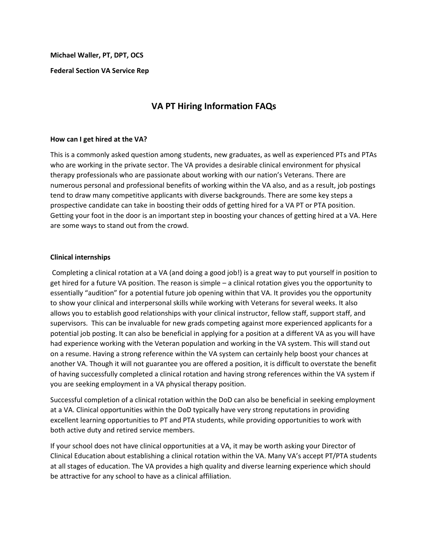**Michael Waller, PT, DPT, OCS**

**Federal Section VA Service Rep**

# **VA PT Hiring Information FAQs**

#### **How can I get hired at the VA?**

This is a commonly asked question among students, new graduates, as well as experienced PTs and PTAs who are working in the private sector. The VA provides a desirable clinical environment for physical therapy professionals who are passionate about working with our nation's Veterans. There are numerous personal and professional benefits of working within the VA also, and as a result, job postings tend to draw many competitive applicants with diverse backgrounds. There are some key steps a prospective candidate can take in boosting their odds of getting hired for a VA PT or PTA position. Getting your foot in the door is an important step in boosting your chances of getting hired at a VA. Here are some ways to stand out from the crowd.

# **Clinical internships**

Completing a clinical rotation at a VA (and doing a good job!) is a great way to put yourself in position to get hired for a future VA position. The reason is simple – a clinical rotation gives you the opportunity to essentially "audition" for a potential future job opening within that VA. It provides you the opportunity to show your clinical and interpersonal skills while working with Veterans for several weeks. It also allows you to establish good relationships with your clinical instructor, fellow staff, support staff, and supervisors. This can be invaluable for new grads competing against more experienced applicants for a potential job posting. It can also be beneficial in applying for a position at a different VA as you will have had experience working with the Veteran population and working in the VA system. This will stand out on a resume. Having a strong reference within the VA system can certainly help boost your chances at another VA. Though it will not guarantee you are offered a position, it is difficult to overstate the benefit of having successfully completed a clinical rotation and having strong references within the VA system if you are seeking employment in a VA physical therapy position.

Successful completion of a clinical rotation within the DoD can also be beneficial in seeking employment at a VA. Clinical opportunities within the DoD typically have very strong reputations in providing excellent learning opportunities to PT and PTA students, while providing opportunities to work with both active duty and retired service members.

If your school does not have clinical opportunities at a VA, it may be worth asking your Director of Clinical Education about establishing a clinical rotation within the VA. Many VA's accept PT/PTA students at all stages of education. The VA provides a high quality and diverse learning experience which should be attractive for any school to have as a clinical affiliation.